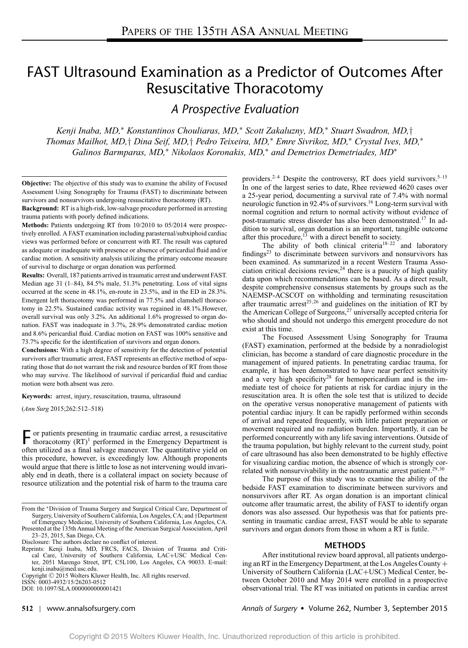# FAST Ultrasound Examination as a Predictor of Outcomes After Resuscitative Thoracotomy

*A Prospective Evaluation*

*Kenji Inaba, MD,*<sup>∗</sup> *Konstantinos Chouliaras, MD,*<sup>∗</sup> *Scott Zakaluzny, MD,*<sup>∗</sup> *Stuart Swadron, MD,*† *Thomas Mailhot, MD,*† *Dina Seif, MD,*† *Pedro Teixeira, MD,*<sup>∗</sup> *Emre Sivrikoz, MD,*<sup>∗</sup> *Crystal Ives, MD,*<sup>∗</sup> *Galinos Barmparas, MD,*<sup>∗</sup> *Nikolaos Koronakis, MD,*<sup>∗</sup> *and Demetrios Demetriades, MD*<sup>∗</sup>

**Objective:** The objective of this study was to examine the ability of Focused Assessment Using Sonography for Trauma (FAST) to discriminate between survivors and nonsurvivors undergoing resuscitative thoracotomy (RT).

**Background:** RT is a high-risk, low-salvage procedure performed in arresting trauma patients with poorly defined indications.

**Methods:** Patients undergoing RT from 10/2010 to 05/2014 were prospectively enrolled. A FAST examination including parasternal/subxiphoid cardiac views was performed before or concurrent with RT. The result was captured as adequate or inadequate with presence or absence of pericardial fluid and/or cardiac motion. A sensitivity analysis utilizing the primary outcome measure of survival to discharge or organ donation was performed.

**Results:** Overall, 187 patients arrived in traumatic arrest and underwent FAST. Median age 31 (1–84), 84.5% male, 51.3% penetrating. Loss of vital signs occurred at the scene in 48.1%, en-route in 23.5%, and in the ED in 28.3%. Emergent left thoracotomy was performed in 77.5% and clamshell thoracotomy in 22.5%. Sustained cardiac activity was regained in 48.1%.However, overall survival was only 3.2%. An additional 1.6% progressed to organ donation. FAST was inadequate in 3.7%, 28.9% demonstrated cardiac motion and 8.6% pericardial fluid. Cardiac motion on FAST was 100% sensitive and 73.7% specific for the identification of survivors and organ donors.

**Conclusions:** With a high degree of sensitivity for the detection of potential survivors after traumatic arrest, FAST represents an effective method of separating those that do not warrant the risk and resource burden of RT from those who may survive. The likelihood of survival if pericardial fluid and cardiac motion were both absent was zero.

**Keywords:** arrest, injury, resuscitation, trauma, ultrasound

(*Ann Surg* 2015;262:512–518)

F or patients presenting in traumatic cardiac arrest, a resuscitative thoracotomy  $(RT)^1$  performed in the Emergency Department is often utilized as a final salvage maneuver. The quantitative yield on this procedure, however, is exceedingly low. Although proponents would argue that there is little to lose as not intervening would invariably end in death, there is a collateral impact on society because of resource utilization and the potential risk of harm to the trauma care

From the ∗Division of Trauma Surgery and Surgical Critical Care, Department of Surgery, University of Southern California, Los Angeles, CA; and †Department of Emergency Medicine, University of Southern California, Los Angeles, CA.

Presented at the 135th Annual Meeting of the American Surgical Association, April 23–25, 2015, San Diego, CA. Disclosure: The authors declare no conflict of interest.

Reprints: Kenji Inaba, MD, FRCS, FACS, Division of Trauma and Criti-cal Care, University of Southern California, LAC+USC Medical Center, 2051 Marengo Street, IPT, C5L100, Los Angeles, CA 90033. E-mail: [kenji.inaba@med.usc.edu.](mailto:kenji.inaba@med.usc.edu)

Copyright © 2015 Wolters Kluwer Health, Inc. All rights reserved.

ISSN: 0003-4932/15/26203-0512 DOI: 10.1097/SLA.0000000000001421

providers. $2-4$  Despite the controversy, RT does yield survivors.<sup>5–15</sup> In one of the largest series to date, Rhee reviewed 4620 cases over a 25-year period, documenting a survival rate of 7.4% with normal neurologic function in 92.4% of survivors.16 Long-term survival with normal cognition and return to normal activity without evidence of post-traumatic stress disorder has also been demonstrated.17 In addition to survival, organ donation is an important, tangible outcome after this procedure,<sup>13</sup> with a direct benefit to society.

The ability of both clinical criteria<sup>18–22</sup> and laboratory findings<sup>23</sup> to discriminate between survivors and nonsurvivors has been examined. As summarized in a recent Western Trauma Association critical decisions review, $24$  there is a paucity of high quality data upon which recommendations can be based. As a direct result, despite comprehensive consensus statements by groups such as the NAEMSP-ACSCOT on withholding and terminating resuscitation after traumatic arrest<sup>25,26</sup> and guidelines on the initiation of RT by the American College of Surgeons, $27$  universally accepted criteria for who should and should not undergo this emergent procedure do not exist at this time.

The Focused Assessment Using Sonography for Trauma (FAST) examination, performed at the bedside by a nonradiologist clinician, has become a standard of care diagnostic procedure in the management of injured patients. In penetrating cardiac trauma, for example, it has been demonstrated to have near perfect sensitivity and a very high specificity<sup>28</sup> for hemopericardium and is the immediate test of choice for patients at risk for cardiac injury in the resuscitation area. It is often the sole test that is utilized to decide on the operative versus nonoperative management of patients with potential cardiac injury. It can be rapidly performed within seconds of arrival and repeated frequently, with little patient preparation or movement required and no radiation burden. Importantly, it can be performed concurrently with any life saving interventions. Outside of the trauma population, but highly relevant to the current study, point of care ultrasound has also been demonstrated to be highly effective for visualizing cardiac motion, the absence of which is strongly correlated with nonsurvivability in the nontraumatic arrest patient.<sup>29,30</sup>

The purpose of this study was to examine the ability of the bedside FAST examination to discriminate between survivors and nonsurvivors after RT. As organ donation is an important clinical outcome after traumatic arrest, the ability of FAST to identify organ donors was also assessed. Our hypothesis was that for patients presenting in traumatic cardiac arrest, FAST would be able to separate survivors and organ donors from those in whom a RT is futile.

#### **METHODS**

After institutional review board approval, all patients undergoing an RT in the Emergency Department, at the Los Angeles County + University of Southern California (LAC+USC) Medical Center, between October 2010 and May 2014 were enrolled in a prospective observational trial. The RT was initiated on patients in cardiac arrest

**512** | www.annals of surgery.com

Annals of Surgery • Volume 262, Number 3, September 2015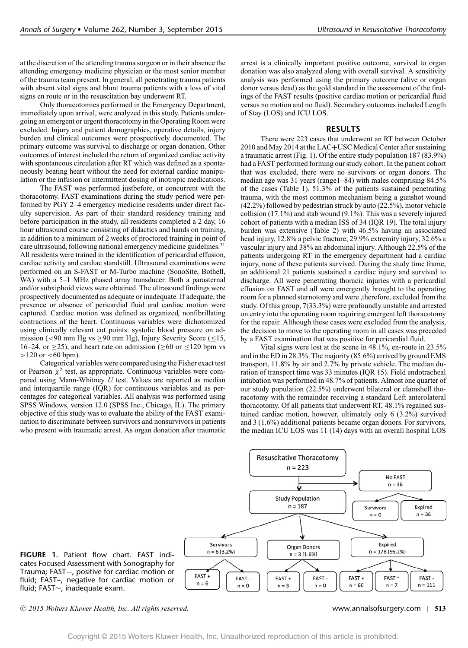at the discretion of the attending trauma surgeon or in their absence the attending emergency medicine physician or the most senior member of the trauma team present. In general, all penetrating trauma patients with absent vital signs and blunt trauma patients with a loss of vital signs en route or in the resuscitation bay underwent RT.

Only thoracotomies performed in the Emergency Department, immediately upon arrival, were analyzed in this study. Patients undergoing an emergent or urgent thoracotomy in the Operating Room were excluded. Injury and patient demographics, operative details, injury burden and clinical outcomes were prospectively documented. The primary outcome was survival to discharge or organ donation. Other outcomes of interest included the return of organized cardiac activity with spontaneous circulation after RT which was defined as a spontaneously beating heart without the need for external cardiac manipulation or the infusion or intermittent dosing of inotropic medications.

The FAST was performed justbefore, or concurrent with the thoracotomy. FAST examinations during the study period were performed by PGY 2–4 emergency medicine residents under direct faculty supervision. As part of their standard residency training and before participation in the study, all residents completed a 2 day, 16 hour ultrasound course consisting of didactics and hands on training, in addition to a minimum of 2 weeks of proctored training in point of care ultrasound, following national emergency medicine guidelines.<sup>31</sup> All residents were trained in the identification of pericardial effusion, cardiac activity and cardiac standstill. Ultrasound examinations were performed on an S-FAST or M-Turbo machine (SonoSite, Bothell, WA) with a 5–1 MHz phased array transducer. Both a parasternal and/or subxiphoid views were obtained. The ultrasound findings were prospectively documented as adequate or inadequate. If adequate, the presence or absence of pericardial fluid and cardiac motion were captured. Cardiac motion was defined as organized, nonfibrillating contractions of the heart. Continuous variables were dichotomized using clinically relevant cut points: systolic blood pressure on admission (<90 mm Hg vs  $\geq$ 90 mm Hg), Injury Severity Score ( $\leq$ 15, 16–24, or  $\geq$ 25), and heart rate on admission ( $\geq$ 60 or  $\leq$ 120 bpm vs  $>120$  or  $< 60$  bpm).

Categorical variables were compared using the Fisher exact test or Pearson  $\chi^2$  test, as appropriate. Continuous variables were compared using Mann-Whitney *U* test. Values are reported as median and interquartile range (IQR) for continuous variables and as percentages for categorical variables. All analysis was performed using SPSS Windows, version 12.0 (SPSS Inc., Chicago, IL). The primary objective of this study was to evaluate the ability of the FAST examination to discriminate between survivors and nonsurvivors in patients who present with traumatic arrest. As organ donation after traumatic

arrest is a clinically important positive outcome, survival to organ donation was also analyzed along with overall survival. A sensitivity analysis was performed using the primary outcome (alive or organ donor versus dead) as the gold standard in the assessment of the findings of the FAST results (positive cardiac motion or pericardial fluid versus no motion and no fluid). Secondary outcomes included Length of Stay (LOS) and ICU LOS.

#### **RESULTS**

There were 223 cases that underwent an RT between October 2010 and May 2014 at the LAC+USC Medical Center after sustaining a traumatic arrest (Fig. 1). Of the entire study population 187 (83.9%) had a FAST performed forming our study cohort. In the patient cohort that was excluded, there were no survivors or organ donors. The median age was 31 years (range1–84) with males comprising 84.5% of the cases (Table 1). 51.3% of the patients sustained penetrating trauma, with the most common mechanism being a gunshot wound (42.2%) followed by pedestrian struck by auto (22.5%), motor vehicle collision (17.1%) and stab wound (9.1%). This was a severely injured cohort of patients with a median ISS of 34 (IQR 19). The total injury burden was extensive (Table 2) with 46.5% having an associated head injury, 12.8% a pelvic fracture, 29.9% extremity injury, 32.6% a vascular injury and 38% an abdominal injury. Although 22.5% of the patients undergoing RT in the emergency department had a cardiac injury, none of these patients survived. During the study time frame, an additional 21 patients sustained a cardiac injury and survived to discharge. All were penetrating thoracic injuries with a pericardial effusion on FAST and all were emergently brought to the operating room for a planned sternotomy and were ,therefore, excluded from the study. Of this group, 7(33.3%) were profoundly unstable and arrested on entry into the operating room requiring emergent left thoracotomy for the repair. Although these cases were excluded from the analysis, the decision to move to the operating room in all cases was preceded by a FAST examination that was positive for pericardial fluid.

Vital signs were lost at the scene in 48.1%, en-route in 23.5% and in the ED in 28.3%. The majority (85.6%) arrived by ground EMS transport, 11.8% by air and 2.7% by private vehicle. The median duration of transport time was 33 minutes (IQR 15). Field endotracheal intubation was performed in 48.7% of patients. Almost one quarter of our study population (22.5%) underwent bilateral or clamshell thoracotomy with the remainder receiving a standard Left anterolateral thoracotomy. Of all patients that underwent RT, 48.1% regained sustained cardiac motion, however, ultimately only 6 (3.2%) survived and 3 (1.6%) additional patients became organ donors. For survivors, the median ICU LOS was 11 (14) days with an overall hospital LOS



**FIGURE 1.** Patient flow chart. FAST indicates Focused Assessment with Sonography for Trauma; FAST+, positive for cardiac motion or fluid; FAST–, negative for cardiac motion or fluid; FAST∼, inadequate exam.

<sup>C</sup> *2015 Wolters Kluwer Health, Inc. All rights reserved.* www.annalsofsurgery.com | **513**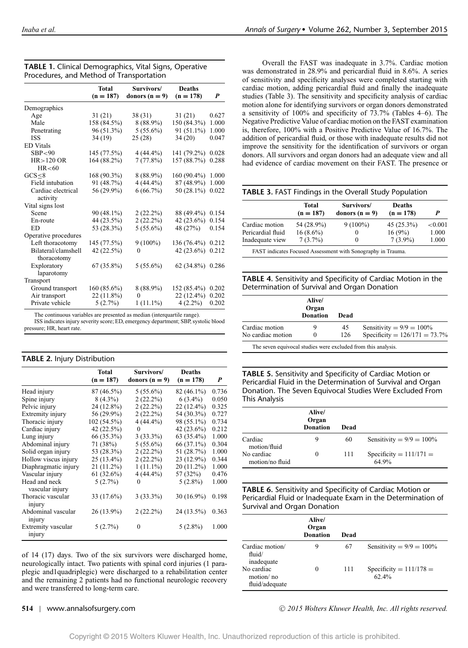|                      | <b>Total</b> | Survivors/       | <b>Deaths</b> |       |
|----------------------|--------------|------------------|---------------|-------|
|                      | $(n = 187)$  | donors $(n = 9)$ | $(n = 178)$   | P     |
| Demographics         |              |                  |               |       |
| Age                  | 31(21)       | 38 (31)          | 31(21)        | 0.627 |
| Male                 | 158 (84.5%)  | 8 (88.9%)        | 150 (84.3%)   | 1.000 |
| Penetrating          | 96 (51.3%)   | $5(55.6\%)$      | 91 (51.1%)    | 1.000 |
| <b>ISS</b>           | 34(19)       | 25(28)           | 34(20)        | 0.047 |
| <b>ED</b> Vitals     |              |                  |               |       |
| SBP < 90             | 145 (77.5%)  | $4(44.4\%)$      | 141 (79.2%)   | 0.028 |
| HR>120 OR            | 164 (88.2%)  | 7(77.8%)         | 157 (88.7%)   | 0.288 |
| HR < 60              |              |                  |               |       |
| GCS < 8              | 168 (90.3%)  | 8 (88.9%)        | 160 (90.4%)   | 1.000 |
| Field intubation     | 91 (48.7%)   | $4(44.4\%)$      | 87 (48.9%)    | 1.000 |
| Cardiac electrical   | 56 (29.9%)   | $6(66.7\%)$      | 50 (28.1%)    | 0.022 |
| activity             |              |                  |               |       |
| Vital signs lost     |              |                  |               |       |
| Scene                | 90 (48.1%)   | $2(22.2\%)$      | 88 (49.4%)    | 0.154 |
| En-route             | 44 (23.5%)   | $2(22.2\%)$      | 42 (23.6%)    | 0.154 |
| ED.                  | 53 (28.3%)   | $5(55.6\%)$      | 48 (27%)      | 0.154 |
| Operative procedures |              |                  |               |       |
| Left thoracotomy     | 145 (77.5%)  | $9(100\%)$       | 136 (76.4%)   | 0.212 |
| Bilateral/clamshell  | 42 (22.5%)   | 0                | 42 (23.6%)    | 0.212 |
| thoracotomy          |              |                  |               |       |
| Exploratory          | $67(35.8\%)$ | $5(55.6\%)$      | $62(34.8\%)$  | 0.286 |
| laparotomy           |              |                  |               |       |
| Transport            |              |                  |               |       |
| Ground transport     | 160 (85.6%)  | $8(88.9\%)$      | 152 (85.4%)   | 0.202 |
| Air transport        | $22(11.8\%)$ | $\Omega$         | 22 (12.4%)    | 0.202 |
| Private vehicle      | 5(2.7%)      | $1(11.1\%)$      | $4(2.2\%)$    | 0.202 |

**TABLE 1.** Clinical Demographics, Vital Signs, Operative Procedures, and Method of Transportation

The continuous variables are presented as median (interquartile range).

ISS indicates injury severity score; ED, emergency department; SBP, systolic blood pressure; HR, heart rate.

### **TABLE 2.** Injury Distribution

|                                  | Total<br>$(n = 187)$ | Survivors/<br>donors $(n = 9)$ | <b>Deaths</b><br>$(n = 178)$ | P     |
|----------------------------------|----------------------|--------------------------------|------------------------------|-------|
| Head injury                      | 87 (46.5%)           | $5(55.6\%)$                    | 82 (46.1%)                   | 0.736 |
| Spine injury                     | $8(4.3\%)$           | $2(22.2\%)$                    | $6(3.4\%)$                   | 0.050 |
| Pelvic injury                    | 24 (12.8%)           | $2(22.2\%)$                    | $22(12.4\%)$                 | 0.325 |
| Extremity injury                 | 56 (29.9%)           | $2(22.2\%)$                    | 54 (30.3%)                   | 0.727 |
| Thoracic injury                  | 102 (54.5%)          | $4(44.4\%)$                    | 98 (55.1%)                   | 0.734 |
| Cardiac injury                   | 42 (22.5%)           | 0                              | 42 $(23.6\%)$                | 0.212 |
| Lung injury                      | 66 (35.3%)           | $3(33.3\%)$                    | $63(35.4\%)$                 | 1.000 |
| Abdominal injury                 | 71 (38%)             | $5(55.6\%)$                    | 66 (37.1%)                   | 0.304 |
| Solid organ injury               | 53 (28.3%)           | $2(22.2\%)$                    | 51 (28.7%)                   | 1.000 |
| Hollow viscus injury             | $25(13.4\%)$         | $2(22.2\%)$                    | 23 (12.9%)                   | 0.344 |
| Diaphragmatic injury             | 21 (11.2%)           | $1(11.1\%)$                    | 20 (11.2%)                   | 1.000 |
| Vascular injury                  | 61 (32.6%)           | $4(44.4\%)$                    | 57 (32%)                     | 0.476 |
| Head and neck<br>vascular injury | $5(2.7\%)$           | 0                              | $5(2.8\%)$                   | 1.000 |
| Thoracic vascular<br>injury      | 33 (17.6%)           | $3(33.3\%)$                    | $30(16.9\%)$                 | 0.198 |
| Abdominal vascular<br>injury     | 26 (13.9%)           | $2(22.2\%)$                    | 24 (13.5%)                   | 0.363 |
| Extremity vascular<br>injury     | $5(2.7\%)$           | $\theta$                       | $5(2.8\%)$                   | 1.000 |

of 14 (17) days. Two of the six survivors were discharged home, neurologically intact. Two patients with spinal cord injuries (1 paraplegic and1quadriplegic) were discharged to a rehabilitation center and the remaining 2 patients had no functional neurologic recovery and were transferred to long-term care.

Overall the FAST was inadequate in 3.7%. Cardiac motion was demonstrated in 28.9% and pericardial fluid in 8.6%. A series of sensitivity and specificity analyses were completed starting with cardiac motion, adding pericardial fluid and finally the inadequate studies (Table 3). The sensitivity and specificity analysis of cardiac motion alone for identifying survivors or organ donors demonstrated a sensitivity of 100% and specificity of 73.7% (Tables 4–6). The Negative Predictive Value of cardiac motion on the FAST examination is, therefore, 100% with a Positive Predictive Value of 16.7%. The addition of pericardial fluid, or those with inadequate results did not improve the sensitivity for the identification of survivors or organ donors. All survivors and organ donors had an adequate view and all had evidence of cardiac movement on their FAST. The presence or

#### **TABLE 3.** FAST Findings in the Overall Study Population

|                   | Total<br>$(n = 187)$ | Survivors/<br>donors $(n = 9)$ | Deaths<br>$(n = 178)$ |            |
|-------------------|----------------------|--------------------------------|-----------------------|------------|
| Cardiac motion    | 54 (28.9%)           | $9(100\%)$                     | $45(25.3\%)$          | ${<}0.001$ |
| Pericardial fluid | $16(8.6\%)$          |                                | 16(9%)                | 1.000      |
| Inadequate view   | $7(3.7\%)$           |                                | $7(3.9\%)$            | 1.000      |

FAST indicates Focused Assessment with Sonography in Trauma.

#### **TABLE 4.** Sensitivity and Specificity of Cardiac Motion in the Determination of Survival and Organ Donation

|                   | Alive/<br>Organ<br><b>Donation</b> | Dead |                                  |
|-------------------|------------------------------------|------|----------------------------------|
| Cardiac motion    | y,                                 | 45   | Sensitivity = $9/9 = 100\%$      |
| No cardiac motion | $\theta$                           | 126  | Specificity = $126/171 = 73.7\%$ |

The seven equivocal studies were excluded from this analysis.

**TABLE 5.** Sensitivity and Specificity of Cardiac Motion or Pericardial Fluid in the Determination of Survival and Organ Donation. The Seven Equivocal Studies Were Excluded From This Analysis

|                               | Alive/<br>Organ<br><b>Donation</b> | Dead |                                    |
|-------------------------------|------------------------------------|------|------------------------------------|
| Cardiac<br>motion/fluid       |                                    | 60   | Sensitivity = $9/9 = 100\%$        |
| No cardiac<br>motion/no fluid | 0                                  | 111  | Specificity = $111/171$ =<br>64 9% |

**TABLE 6.** Sensitivity and Specificity of Cardiac Motion or Pericardial Fluid or Inadequate Exam in the Determination of Survival and Organ Donation

|                                           | Alive/<br>Organ<br><b>Donation</b> | Dead |                                    |
|-------------------------------------------|------------------------------------|------|------------------------------------|
| Cardiac motion/<br>fluid/<br>inadequate   | 9                                  | 67   | Sensitivity = $9/9 = 100\%$        |
| No cardiac<br>motion/no<br>fluid/adequate | 0                                  | 111  | Specificity = $111/178$ =<br>62.4% |

**514** | www.annalsofsurgery.com <sup>C</sup> *2015 Wolters Kluwer Health, Inc. All rights reserved.*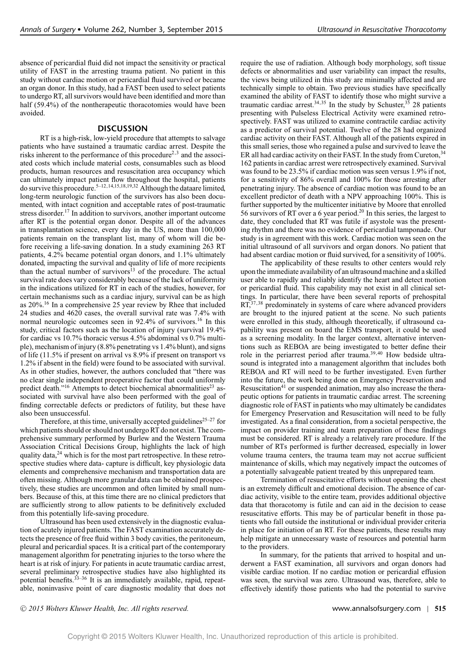absence of pericardial fluid did not impact the sensitivity or practical utility of FAST in the arresting trauma patient. No patient in this study without cardiac motion or pericardial fluid survived or became an organ donor. In this study, had a FAST been used to select patients to undergo RT, all survivors would have been identified and more than half (59.4%) of the nontherapeutic thoracotomies would have been avoided.

#### **DISCUSSION**

RT is a high-risk, low-yield procedure that attempts to salvage patients who have sustained a traumatic cardiac arrest. Despite the risks inherent to the performance of this procedure<sup>2,3</sup> and the associated costs which include material costs, consumables such as blood products, human resources and resuscitation area occupancy which can ultimately impact patient flow throughout the hospital, patients do survive this procedure.<sup>5–12,14,15,18,19,32</sup> Although the dataare limited, long-term neurologic function of the survivors has also been documented, with intact cognition and acceptable rates of post-traumatic stress disorder.<sup>17</sup> In addition to survivors, another important outcome after RT is the potential organ donor. Despite all of the advances in transplantation science, every day in the US, more than 100,000 patients remain on the transplant list, many of whom will die before receiving a life-saving donation. In a study examining 263 RT patients, 4.2% became potential organ donors, and 1.1% ultimately donated, impacting the survival and quality of life of more recipients than the actual number of survivors $^{13}$  of the procedure. The actual survival rate does vary considerably because of the lack of uniformity in the indications utilized for RT in each of the studies, however, for certain mechanisms such as a cardiac injury, survival can be as high as 20%.16 In a comprehensive 25 year review by Rhee that included 24 studies and 4620 cases, the overall survival rate was 7.4% with normal neurologic outcomes seen in 92.4% of survivors.<sup>16</sup> In this study, critical factors such as the location of injury (survival 19.4% for cardiac vs 10.7% thoracic versus 4.5% abdominal vs 0.7% multiple), mechanism of injury (8.8% penetrating vs 1.4% blunt), and signs of life (11.5% if present on arrival vs 8.9% if present on transport vs 1.2% if absent in the field) were found to be associated with survival. As in other studies, however, the authors concluded that "there was no clear single independent preoperative factor that could uniformly predict death."<sup>16</sup> Attempts to detect biochemical abnormalities<sup>23</sup> associated with survival have also been performed with the goal of finding correctable defects or predictors of futility, but these have also been unsuccessful.

Therefore, at this time, universally accepted guidelines<sup>25–27</sup> for which patients should or should not undergo RT do not exist. The comprehensive summary performed by Burlew and the Western Trauma Association Critical Decisions Group, highlights the lack of high quality data,<sup>24</sup> which is for the most part retrospective. In these retrospective studies where data- capture is difficult, key physiologic data elements and comprehensive mechanism and transportation data are often missing. Although more granular data can be obtained prospectively, these studies are uncommon and often limited by small numbers. Because of this, at this time there are no clinical predictors that are sufficiently strong to allow patients to be definitively excluded from this potentially life-saving procedure.

Ultrasound has been used extensively in the diagnostic evaluation of acutely injured patients. The FAST examination accurately detects the presence of free fluid within 3 body cavities, the peritoneum, pleural and pericardial spaces. It is a critical part of the contemporary management algorithm for penetrating injuries to the torso where the heart is at risk of injury. For patients in acute traumatic cardiac arrest, several preliminary retrospective studies have also highlighted its potential benefits.<sup>33-36</sup> It is an immediately available, rapid, repeatable, noninvasive point of care diagnostic modality that does not

require the use of radiation. Although body morphology, soft tissue defects or abnormalities and user variability can impact the results, the views being utilized in this study are minimally affected and are technically simple to obtain. Two previous studies have specifically examined the ability of FAST to identify those who might survive a traumatic cardiac arrest.<sup>34,35</sup> In the study by Schuster,<sup>35</sup> 28 patients presenting with Pulseless Electrical Activity were examined retrospectively. FAST was utilized to examine contractile cardiac activity as a predictor of survival potential. Twelve of the 28 had organized cardiac activity on their FAST. Although all of the patients expired in this small series, those who regained a pulse and survived to leave the ER all had cardiac activity on their FAST. In the study from Cureton, 34 162 patients in cardiac arrest were retrospectively examined. Survival was found to be 23.5% if cardiac motion was seen versus 1.9% if not, for a sensitivity of 86% overall and 100% for those arresting after penetrating injury. The absence of cardiac motion was found to be an excellent predictor of death with a NPV approaching 100%. This is further supported by the multicenter initiative by Moore that enrolled 56 survivors of RT over a 6 year period.<sup>20</sup> In this series, the largest to date, they concluded that RT was futile if asystole was the presenting rhythm and there was no evidence of pericardial tamponade. Our study is in agreement with this work. Cardiac motion was seen on the initial ultrasound of all survivors and organ donors. No patient that had absent cardiac motion or fluid survived, for a sensitivity of 100%.

The applicability of these results to other centers would rely upon the immediate availability of an ultrasound machine and a skilled user able to rapidly and reliably identify the heart and detect motion or pericardial fluid. This capability may not exist in all clinical settings. In particular, there have been several reports of prehospital RT,<sup>37,38</sup> predominately in systems of care where advanced providers are brought to the injured patient at the scene. No such patients were enrolled in this study, although theoretically, if ultrasound capability was present on board the EMS transport, it could be used as a screening modality. In the larger context, alternative interventions such as REBOA are being investigated to better define their role in the periarrest period after trauma.39,40 How bedside ultrasound is integrated into a management algorithm that includes both REBOA and RT will need to be further investigated. Even further into the future, the work being done on Emergency Preservation and Resuscitation $41$  or suspended animation, may also increase the therapeutic options for patients in traumatic cardiac arrest. The screening diagnostic role of FAST in patients who may ultimately be candidates for Emergency Preservation and Resuscitation will need to be fully investigated. As a final consideration, from a societal perspective, the impact on provider training and team preparation of these findings must be considered. RT is already a relatively rare procedure. If the number of RTs performed is further decreased, especially in lower volume trauma centers, the trauma team may not accrue sufficient maintenance of skills, which may negatively impact the outcomes of a potentially salvageable patient treated by this unprepared team.

Termination of resuscitative efforts without opening the chest is an extremely difficult and emotional decision. The absence of cardiac activity, visible to the entire team, provides additional objective data that thoracotomy is futile and can aid in the decision to cease resuscitative efforts. This may be of particular benefit in those patients who fall outside the institutional or individual provider criteria in place for initiation of an RT. For these patients, these results may help mitigate an unnecessary waste of resources and potential harm to the providers.

In summary, for the patients that arrived to hospital and underwent a FAST examination, all survivors and organ donors had visible cardiac motion. If no cardiac motion or pericardial effusion was seen, the survival was zero. Ultrasound was, therefore, able to effectively identify those patients who had the potential to survive

#### <sup>C</sup> *2015 Wolters Kluwer Health, Inc. All rights reserved.* www.annalsofsurgery.com | **515**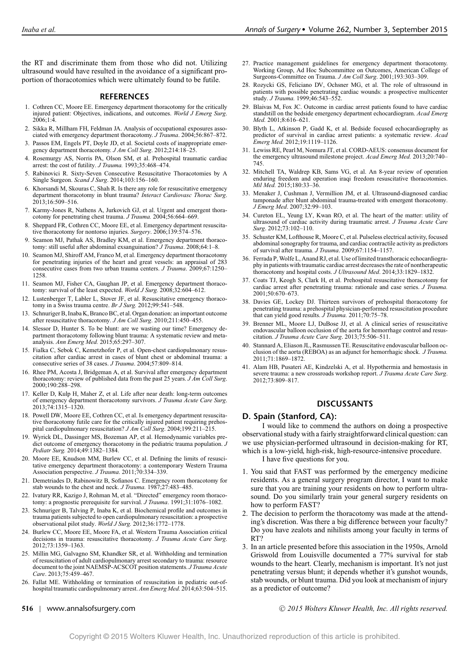the RT and discriminate them from those who did not. Utilizing ultrasound would have resulted in the avoidance of a significant proportion of thoracotomies which were ultimately found to be futile.

### **REFERENCES**

- 1. Cothren CC, Moore EE. Emergency department thoracotomy for the critically injured patient: Objectives, indications, and outcomes. *World J Emerg Surg*. 2006;1:4.
- 2. Sikka R, Millham FH, Feldman JA. Analysis of occupational exposures associated with emergency department thoracotomy. *J Trauma*. 2004;56:867–872.
- 3. Passos EM, Engels PT, Doyle JD, et al. Societal costs of inappropriate emergency department thoracotomy. *J Am Coll Surg*. 2012;214:18–25.
- 4. Rosemurgy AS, Norris PA, Olson SM, et al. Prehospital traumatic cardiac arrest: the cost of futility. *J Trauma.* 1993;35:468–474.
- 5. Rabinovici R. Sixty-Seven Consecutive Resuscitative Thoracotomies by A Single Surgeon. *Scand J Surg*. 2014;103:156–160.
- 6. Khorsandi M, Skouras C, Shah R. Is there any role for resuscitative emergency department thoracotomy in blunt trauma? *Interact Cardiovasc Thorac Surg*. 2013;16:509–516.
- 7. Karmy-Jones R, Nathens A, Jurkovich GJ, et al. Urgent and emergent thoracotomy for penetrating chest trauma. *J Trauma.* 2004;56:664–669.
- 8. Sheppard FR, Cothren CC, Moore EE, et al. Emergency department resuscitative thoracotomy for nontorso injuries. *Surgery*. 2006;139:574–576.
- 9. Seamon MJ, Pathak AS, Bradley KM, et al. Emergency department thoracotomy: still useful after abdominal exsanguination? *J Trauma*. 2008;64:1–8.
- 10. Seamon MJ, Shiroff AM, Franco M, et al. Emergency department thoracotomy for penetrating injuries of the heart and great vessels: an appraisal of 283 consecutive cases from two urban trauma centers. *J Trauma*. 2009;67:1250– 1258.
- 11. Seamon MJ, Fisher CA, Gaughan JP, et al. Emergency department thoracotomy: survival of the least expected. *World J Surg.* 2008;32:604–612.
- 12. Lustenberger T, Labler L, Stover JF, et al. Resuscitative emergency thoracotomy in a Swiss trauma centre. *Br J Surg.* 2012;99:541–548.
- 13. Schnuriger B, Inaba K, Branco BC, et al. Organ donation: an important outcome after resuscitative thoracotomy. *J Am Coll Surg*. 2010;211:450–455.
- 14. Slessor D, Hunter S. To be blunt: are we wasting our time? Emergency department thoracotomy following blunt trauma: A systematic review and metaanalysis. *Ann Emerg Med.* 2015;65:297–307.
- 15. Fialka C, Sebok C, Kemetzhofer P, et al. Open-chest cardiopulmonary resuscitation after cardiac arrest in cases of blunt chest or abdominal trauma: a consecutive series of 38 cases. *J Trauma*. 2004;57:809–814.
- 16. Rhee PM, Acosta J, Bridgeman A, et al. Survival after emergency department thoracotomy: review of published data from the past 25 years. *J Am Coll Surg*. 2000;190:288–298.
- 17. Keller D, Kulp H, Maher Z, et al. Life after near death: long-term outcomes of emergency department thoracotomy survivors. *J Trauma Acute Care Surg*. 2013;74:1315–1320.
- 18. Powell DW, Moore EE, Cothren CC, et al. Is emergency department resuscitative thoracotomy futile care for the critically injured patient requiring prehospital cardiopulmonary resuscitation? *J Am Coll Surg*. 2004;199:211–215.
- 19. Wyrick DL, Dassinger MS, Bozeman AP, et al. Hemodynamic variables predict outcome of emergency thoracotomy in the pediatric trauma population. *J Pediatr Surg.* 2014;49:1382–1384.
- 20. Moore EE, Knudson MM, Burlew CC, et al. Defining the limits of resuscitative emergency department thoracotomy: a contemporary Western Trauma Association perspective. *J Trauma*. 2011;70:334–339.
- 21. Demetriades D, Rabinowitz B, Sofianos C. Emergency room thoracotomy for stab wounds to the chest and neck. *J Trauma.* 1987;27:483–485.
- 22. Ivatury RR, Kazigo J, Rohman M, et al. "Directed" emergency room thoracotomy: a prognostic prerequisite for survival. *J Trauma*. 1991;31:1076–1082.
- 23. Schnuriger B, Talving P, Inaba K, et al. Biochemical profile and outcomes in trauma patients subjected to open cardiopulmonary resuscitation: a prospective observational pilot study. *World J Surg.* 2012;36:1772–1778.
- 24. Burlew CC, Moore EE, Moore FA, et al. Western Trauma Association critical decisions in trauma: resuscitative thoracotomy. *J Trauma Acute Care Surg*. 2012;73:1359–1363.
- 25. Millin MG, Galvagno SM, Khandker SR, et al. Withholding and termination of resuscitation of adult cardiopulmonary arrest secondary to trauma: resource document to the joint NAEMSP-ACSCOT position statements. *J Trauma Acute Care*. 2013;75:459–467.
- 26. Fallat ME. Withholding or termination of resuscitation in pediatric out-ofhospital traumatic cardiopulmonary arrest. *Ann Emerg Med.* 2014;63:504–515.
- 
- 27. Practice management guidelines for emergency department thoracotomy. Working Group, Ad Hoc Subcommittee on Outcomes, American College of Surgeons-Committee on Trauma. *J Am Coll Surg*. 2001;193:303–309.
- 28. Rozycki GS, Feliciano DV, Ochsner MG, et al. The role of ultrasound in patients with possible penetrating cardiac wounds: a prospective multicenter study. *J Trauma.* 1999;46:543–552.
- 29. Blaivas M, Fox JC. Outcome in cardiac arrest patients found to have cardiac standstill on the bedside emergency department echocardiogram. *Acad Emerg Med.* 2001;8:616–621.
- 30. Blyth L, Atkinson P, Gadd K, et al. Bedside focused echocardiography as predictor of survival in cardiac arrest patients: a systematic review. *Acad Emerg Med.* 2012;19:1119–1126.
- 31. Lewiss RE, Pearl M, Nomura JT, et al. CORD-AEUS: consensus document for the emergency ultrasound milestone project. *Acad Emerg Med.* 2013;20:740– 745.
- 32. Mitchell TA, Waldrep KB, Sams VG, et al. An 8-year review of operation enduring freedom and operation iraqi freedom resuscitative thoracotomies. *Mil Med.* 2015;180:33–36.
- 33. Menaker J, Cushman J, Vermillion JM, et al. Ultrasound-diagnosed cardiac tamponade after blunt abdominal trauma-treated with emergent thoracotomy. *J Emerg Med*. 2007;32:99–103.
- 34. Cureton EL, Yeung LY, Kwan RO, et al. The heart of the matter: utility of ultrasound of cardiac activity during traumatic arrest. *J Trauma Acute Care Surg*. 2012;73:102–110.
- 35. Schuster KM, Lofthouse R, Moore C, et al. Pulseless electrical activity, focused abdominal sonography for trauma, and cardiac contractile activity as predictors of survival after trauma. *J Trauma*. 2009;67:1154–1157.
- 36. Ferrada P, Wolfe L, Anand RJ, et al. Use of limited transthoracic echocardiography in patients with traumatic cardiac arrest decreases the rate of nontherapeutic thoracotomy and hospital costs. *J Ultrasound Med*. 2014;33:1829–1832.
- 37. Coats TJ, Keogh S, Clark H, et al. Prehospital resuscitative thoracotomy for cardiac arrest after penetrating trauma: rationale and case series. *J Trauma.* 2001;50:670–673.
- 38. Davies GE, Lockey DJ. Thirteen survivors of prehospital thoracotomy for penetrating trauma: a prehospital physician-performed resuscitation procedure that can yield good results.  $\hat{J}$  Trauma. 2011;70:75–78.
- 39. Brenner ML, Moore LJ, DuBose JJ, et al. A clinical series of resuscitative endovascular balloon occlusion of the aorta for hemorrhage control and resuscitation. *J Trauma Acute Care Surg*. 2013;75:506–511.
- 40. Stannard A, Eliason JL, Rasmussen TE. Resuscitative endovascular balloon occlusion of the aorta (REBOA) as an adjunct for hemorrhagic shock. *J Trauma.* 2011;71:1869–1872.
- 41. Alam HB, Pusateri AE, Kindzelski A, et al. Hypothermia and hemostasis in severe trauma: a new crossroads workshop report. *J Trauma Acute Care Surg*. 2012;73:809–817.

# **DISCUSSANTS**

# **D. Spain (Stanford, CA):**

I would like to commend the authors on doing a prospective observational study with a fairly straightforward clinical question: can we use physician-performed ultrasound in decision-making for RT, which is a low-yield, high-risk, high-resource-intensive procedure. I have five questions for you.

- 1. You said that FAST was performed by the emergency medicine residents. As a general surgery program director, I want to make sure that you are training your residents on how to perform ultrasound. Do you similarly train your general surgery residents on how to perform FAST?
- 2. The decision to perform the thoracotomy was made at the attending's discretion. Was there a big difference between your faculty? Do you have zealots and nihilists among your faculty in terms of RT?
- 3. In an article presented before this association in the 1950s, Arnold Griswold from Louisville documented a 77% survival for stab wounds to the heart. Clearly, mechanism is important. It's not just penetrating versus blunt; it depends whether it's gunshot wounds, stab wounds, or blunt trauma. Did you look at mechanism of injury as a predictor of outcome?

**516** | www.annalsofsurgery.com <sup>C</sup> *2015 Wolters Kluwer Health, Inc. All rights reserved.*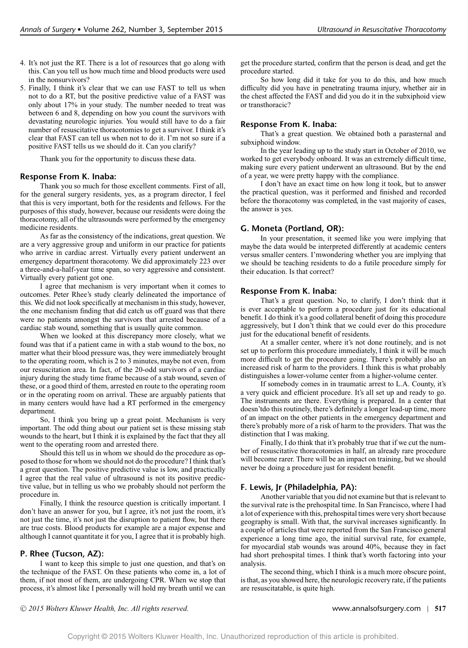- 4. It's not just the RT. There is a lot of resources that go along with this. Can you tell us how much time and blood products were used in the nonsurvivors?
- 5. Finally, I think it's clear that we can use FAST to tell us when not to do a RT, but the positive predictive value of a FAST was only about 17% in your study. The number needed to treat was between 6 and 8, depending on how you count the survivors with devastating neurologic injuries. You would still have to do a fair number of resuscitative thoracotomies to get a survivor. I think it's clear that FAST can tell us when not to do it. I'm not so sure if a positive FAST tells us we should do it. Can you clarify?

Thank you for the opportunity to discuss these data.

### **Response From K. Inaba:**

Thank you so much for those excellent comments. First of all, for the general surgery residents, yes, as a program director, I feel that this is very important, both for the residents and fellows. For the purposes of this study, however, because our residents were doing the thoracotomy, all of the ultrasounds were performed by the emergency medicine residents.

As far as the consistency of the indications, great question. We are a very aggressive group and uniform in our practice for patients who arrive in cardiac arrest. Virtually every patient underwent an emergency department thoracotomy. We did approximately 223 over a three-and-a-half-year time span, so very aggressive and consistent. Virtually every patient got one.

I agree that mechanism is very important when it comes to outcomes. Peter Rhee's study clearly delineated the importance of this. We did not look specifically at mechanism in this study, however, the one mechanism finding that did catch us off guard was that there were no patients amongst the survivors that arrested because of a cardiac stab wound, something that is usually quite common.

When we looked at this discrepancy more closely, what we found was that if a patient came in with a stab wound to the box, no matter what their blood pressure was, they were immediately brought to the operating room, which is 2 to 3 minutes, maybe not even, from our resuscitation area. In fact, of the 20-odd survivors of a cardiac injury during the study time frame because of a stab wound, seven of these, or a good third of them, arrested en route to the operating room or in the operating room on arrival. These are arguably patients that in many centers would have had a RT performed in the emergency department.

So, I think you bring up a great point. Mechanism is very important. The odd thing about our patient set is these missing stab wounds to the heart, but I think it is explained by the fact that they all went to the operating room and arrested there.

Should this tell us in whom we should do the procedure as opposed to those for whom we should not do the procedure? I think that's a great question. The positive predictive value is low, and practically I agree that the real value of ultrasound is not its positive predictive value, but in telling us who we probably should not perform the procedure in.

Finally, I think the resource question is critically important. I don't have an answer for you, but I agree, it's not just the room, it's not just the time, it's not just the disruption to patient flow, but there are true costs. Blood products for example are a major expense and although I cannot quantitate it for you, I agree that it is probably high.

### **P. Rhee (Tucson, AZ):**

I want to keep this simple to just one question, and that's on the technique of the FAST. On these patients who come in, a lot of them, if not most of them, are undergoing CPR. When we stop that process, it's almost like I personally will hold my breath until we can

get the procedure started, confirm that the person is dead, and get the procedure started.

So how long did it take for you to do this, and how much difficulty did you have in penetrating trauma injury, whether air in the chest affected the FAST and did you do it in the subxiphoid view or transthoracic?

#### **Response From K. Inaba:**

That's a great question. We obtained both a parasternal and subxiphoid window.

In the year leading up to the study start in October of 2010, we worked to get everybody onboard. It was an extremely difficult time, making sure every patient underwent an ultrasound. But by the end of a year, we were pretty happy with the compliance.

I don't have an exact time on how long it took, but to answer the practical question, was it performed and finished and recorded before the thoracotomy was completed, in the vast majority of cases, the answer is yes.

# **G. Moneta (Portland, OR):**

In your presentation, it seemed like you were implying that maybe the data would be interpreted differently at academic centers versus smaller centers. I'mwondering whether you are implying that we should be teaching residents to do a futile procedure simply for their education. Is that correct?

#### **Response From K. Inaba:**

That's a great question. No, to clarify, I don't think that it is ever acceptable to perform a procedure just for its educational benefit. I do think it's a good collateral benefit of doing this procedure aggressively, but I don't think that we could ever do this procedure just for the educational benefit of residents.

At a smaller center, where it's not done routinely, and is not set up to perform this procedure immediately, I think it will be much more difficult to get the procedure going. There's probably also an increased risk of harm to the providers. I think this is what probably distinguishes a lower-volume center from a higher-volume center.

If somebody comes in in traumatic arrest to L.A. County, it's a very quick and efficient procedure. It's all set up and ready to go. The instruments are there. Everything is prepared. In a center that doesn'tdo this routinely, there's definitely a longer lead-up time, more of an impact on the other patients in the emergency department and there's probably more of a risk of harm to the providers. That was the distinction that I was making.

Finally, I do think that it's probably true that if we cut the number of resuscitative thoracotomies in half, an already rare procedure will become rarer. There will be an impact on training, but we should never be doing a procedure just for resident benefit.

# **F. Lewis, Jr (Philadelphia, PA):**

Another variable that you did not examine but that is relevant to the survival rate is the prehospital time. In San Francisco, where I had a lot of experience with this, prehospital times were very short because geography is small. With that, the survival increases significantly. In a couple of articles that were reported from the San Francisco general experience a long time ago, the initial survival rate, for example, for myocardial stab wounds was around 40%, because they in fact had short prehospital times. I think that's worth factoring into your analysis.

The second thing, which I think is a much more obscure point, is that, as you showed here, the neurologic recovery rate, if the patients are resuscitatable, is quite high.

<sup>C</sup> *2015 Wolters Kluwer Health, Inc. All rights reserved.* www.annalsofsurgery.com | **517**